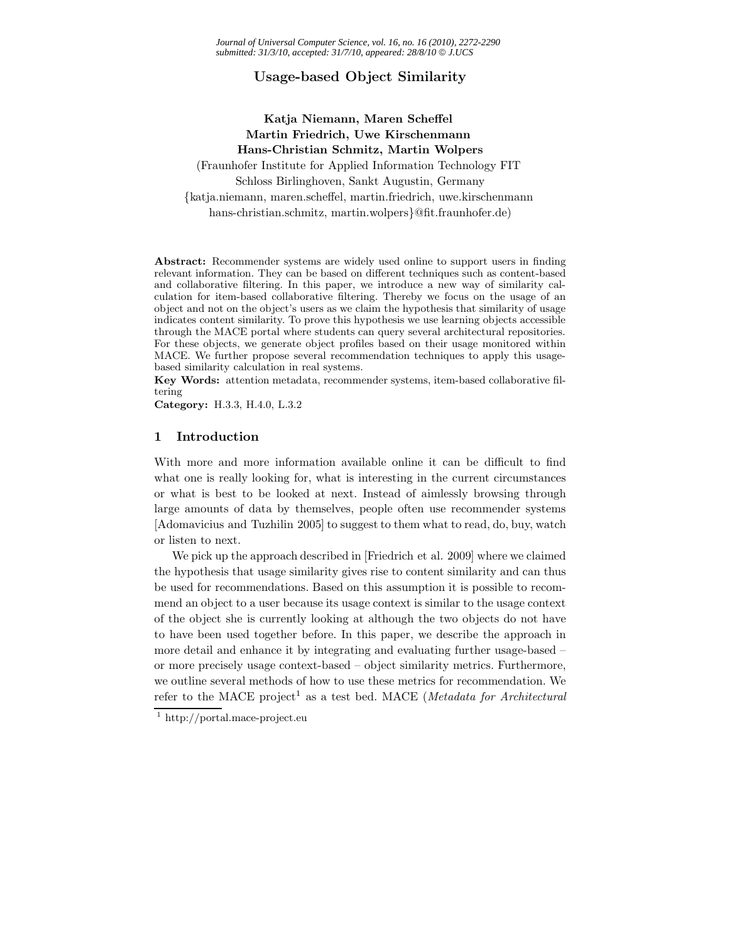# **Usage-based Object Similarity**

# **Katja Niemann, Maren Scheffel Martin Friedrich, Uwe Kirschenmann Hans-Christian Schmitz, Martin Wolpers**

(Fraunhofer Institute for Applied Information Technology FIT Schloss Birlinghoven, Sankt Augustin, Germany {katja.niemann, maren.scheffel, martin.friedrich, uwe.kirschenmann hans-christian.schmitz, martin.wolpers}@fit.fraunhofer.de)

**Abstract:** Recommender systems are widely used online to support users in finding relevant information. They can be based on different techniques such as content-based and collaborative filtering. In this paper, we introduce a new way of similarity calculation for item-based collaborative filtering. Thereby we focus on the usage of an object and not on the object's users as we claim the hypothesis that similarity of usage indicates content similarity. To prove this hypothesis we use learning objects accessible through the MACE portal where students can query several architectural repositories. For these objects, we generate object profiles based on their usage monitored within MACE. We further propose several recommendation techniques to apply this usagebased similarity calculation in real systems.

**Key Words:** attention metadata, recommender systems, item-based collaborative filtering

**Category:** H.3.3, H.4.0, L.3.2

## **1 Introduction**

With more and more information available online it can be difficult to find what one is really looking for, what is interesting in the current circumstances or what is best to be looked at next. Instead of aimlessly browsing through large amounts of data by themselves, people often use recommender systems [Adomavicius and Tuzhilin 2005] to suggest to them what to read, do, buy, watch or listen to next.

We pick up the approach described in [Friedrich et al. 2009] where we claimed the hypothesis that usage similarity gives rise to content similarity and can thus be used for recommendations. Based on this assumption it is possible to recommend an object to a user because its usage context is similar to the usage context of the object she is currently looking at although the two objects do not have to have been used together before. In this paper, we describe the approach in more detail and enhance it by integrating and evaluating further usage-based – or more precisely usage context-based – object similarity metrics. Furthermore, we outline several methods of how to use these metrics for recommendation. We refer to the MACE project<sup>1</sup> as a test bed. MACE (*Metadata for Architectural* 

<sup>1</sup> http://portal.mace-project.eu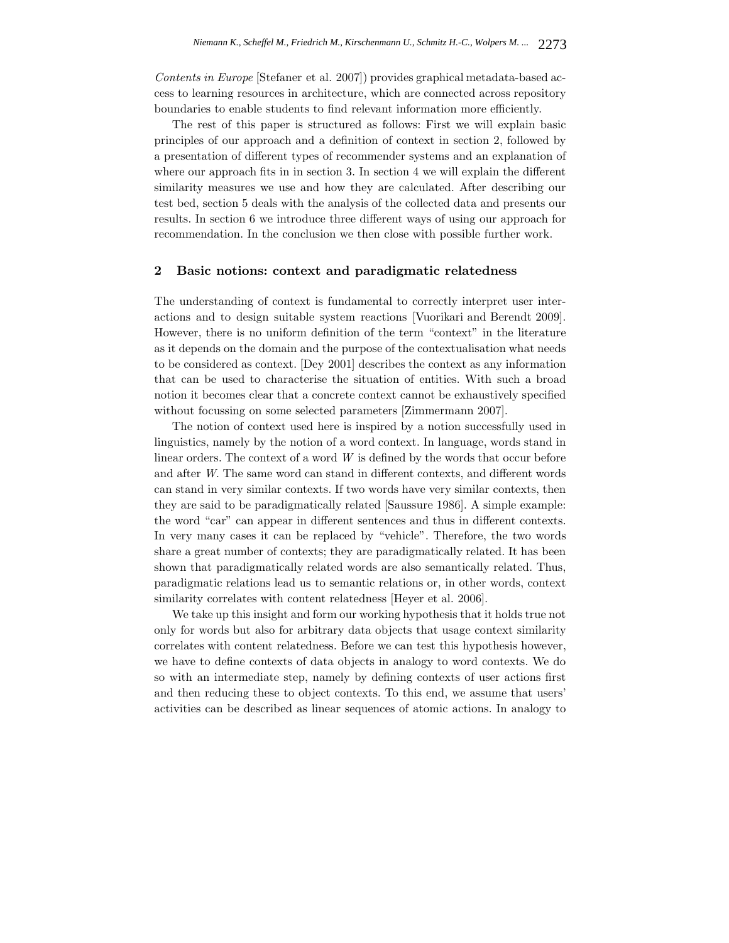*Contents in Europe* [Stefaner et al. 2007]) provides graphical metadata-based access to learning resources in architecture, which are connected across repository boundaries to enable students to find relevant information more efficiently.

The rest of this paper is structured as follows: First we will explain basic principles of our approach and a definition of context in section 2, followed by a presentation of different types of recommender systems and an explanation of where our approach fits in in section 3. In section 4 we will explain the different similarity measures we use and how they are calculated. After describing our test bed, section 5 deals with the analysis of the collected data and presents our results. In section 6 we introduce three different ways of using our approach for recommendation. In the conclusion we then close with possible further work.

### **2 Basic notions: context and paradigmatic relatedness**

The understanding of context is fundamental to correctly interpret user interactions and to design suitable system reactions [Vuorikari and Berendt 2009]. However, there is no uniform definition of the term "context" in the literature as it depends on the domain and the purpose of the contextualisation what needs to be considered as context. [Dey 2001] describes the context as any information that can be used to characterise the situation of entities. With such a broad notion it becomes clear that a concrete context cannot be exhaustively specified without focussing on some selected parameters [Zimmermann 2007].

The notion of context used here is inspired by a notion successfully used in linguistics, namely by the notion of a word context. In language, words stand in linear orders. The context of a word *W* is defined by the words that occur before and after *W*. The same word can stand in different contexts, and different words can stand in very similar contexts. If two words have very similar contexts, then they are said to be paradigmatically related [Saussure 1986]. A simple example: the word "car" can appear in different sentences and thus in different contexts. In very many cases it can be replaced by "vehicle". Therefore, the two words share a great number of contexts; they are paradigmatically related. It has been shown that paradigmatically related words are also semantically related. Thus, paradigmatic relations lead us to semantic relations or, in other words, context similarity correlates with content relatedness [Heyer et al. 2006].

We take up this insight and form our working hypothesis that it holds true not only for words but also for arbitrary data objects that usage context similarity correlates with content relatedness. Before we can test this hypothesis however, we have to define contexts of data objects in analogy to word contexts. We do so with an intermediate step, namely by defining contexts of user actions first and then reducing these to object contexts. To this end, we assume that users' activities can be described as linear sequences of atomic actions. In analogy to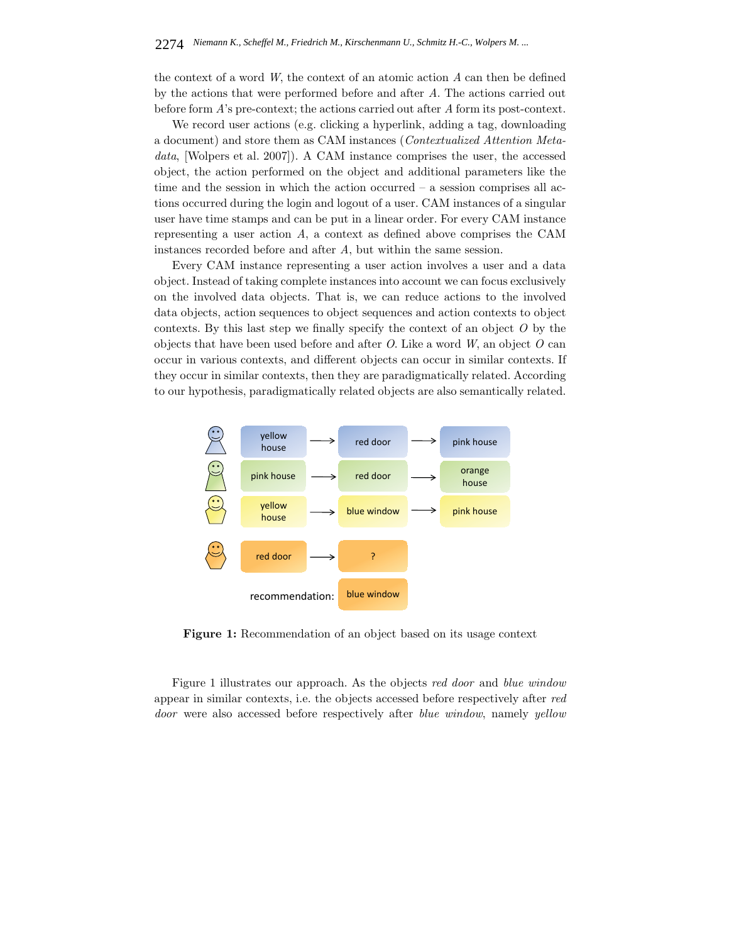the context of a word *W*, the context of an atomic action *A* can then be defined by the actions that were performed before and after *A*. The actions carried out before form *A*'s pre-context; the actions carried out after *A* form its post-context.

We record user actions (e.g. clicking a hyperlink, adding a tag, downloading a document) and store them as CAM instances (*Contextualized Attention Metadata*, [Wolpers et al. 2007]). A CAM instance comprises the user, the accessed object, the action performed on the object and additional parameters like the time and the session in which the action occurred – a session comprises all actions occurred during the login and logout of a user. CAM instances of a singular user have time stamps and can be put in a linear order. For every CAM instance representing a user action *A*, a context as defined above comprises the CAM instances recorded before and after *A*, but within the same session.

Every CAM instance representing a user action involves a user and a data object. Instead of taking complete instances into account we can focus exclusively on the involved data objects. That is, we can reduce actions to the involved data objects, action sequences to object sequences and action contexts to object contexts. By this last step we finally specify the context of an object *O* by the objects that have been used before and after *O*. Like a word *W*, an object *O* can occur in various contexts, and different objects can occur in similar contexts. If they occur in similar contexts, then they are paradigmatically related. According to our hypothesis, paradigmatically related objects are also semantically related.



**Figure 1:** Recommendation of an object based on its usage context

Figure 1 illustrates our approach. As the objects *red door* and *blue window* appear in similar contexts, i.e. the objects accessed before respectively after *red door* were also accessed before respectively after *blue window*, namely *yellow*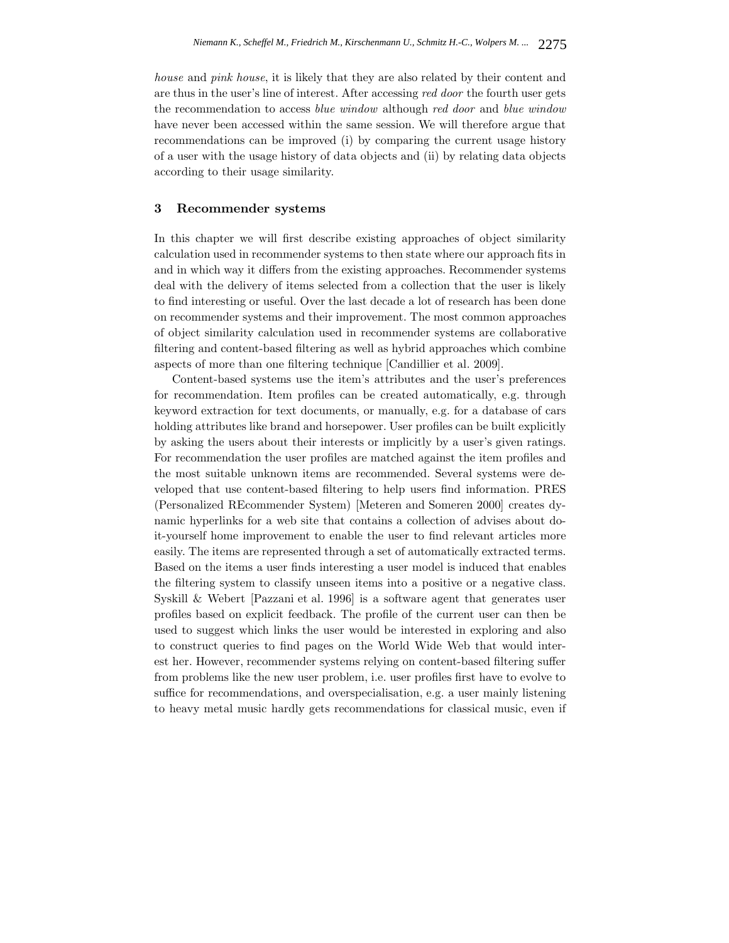*house* and *pink house*, it is likely that they are also related by their content and are thus in the user's line of interest. After accessing *red door* the fourth user gets the recommendation to access *blue window* although *red door* and *blue window* have never been accessed within the same session. We will therefore argue that recommendations can be improved (i) by comparing the current usage history of a user with the usage history of data objects and (ii) by relating data objects according to their usage similarity.

### **3 Recommender systems**

In this chapter we will first describe existing approaches of object similarity calculation used in recommender systems to then state where our approach fits in and in which way it differs from the existing approaches. Recommender systems deal with the delivery of items selected from a collection that the user is likely to find interesting or useful. Over the last decade a lot of research has been done on recommender systems and their improvement. The most common approaches of object similarity calculation used in recommender systems are collaborative filtering and content-based filtering as well as hybrid approaches which combine aspects of more than one filtering technique [Candillier et al. 2009].

Content-based systems use the item's attributes and the user's preferences for recommendation. Item profiles can be created automatically, e.g. through keyword extraction for text documents, or manually, e.g. for a database of cars holding attributes like brand and horsepower. User profiles can be built explicitly by asking the users about their interests or implicitly by a user's given ratings. For recommendation the user profiles are matched against the item profiles and the most suitable unknown items are recommended. Several systems were developed that use content-based filtering to help users find information. PRES (Personalized REcommender System) [Meteren and Someren 2000] creates dynamic hyperlinks for a web site that contains a collection of advises about doit-yourself home improvement to enable the user to find relevant articles more easily. The items are represented through a set of automatically extracted terms. Based on the items a user finds interesting a user model is induced that enables the filtering system to classify unseen items into a positive or a negative class. Syskill & Webert [Pazzani et al. 1996] is a software agent that generates user profiles based on explicit feedback. The profile of the current user can then be used to suggest which links the user would be interested in exploring and also to construct queries to find pages on the World Wide Web that would interest her. However, recommender systems relying on content-based filtering suffer from problems like the new user problem, i.e. user profiles first have to evolve to suffice for recommendations, and overspecialisation, e.g. a user mainly listening to heavy metal music hardly gets recommendations for classical music, even if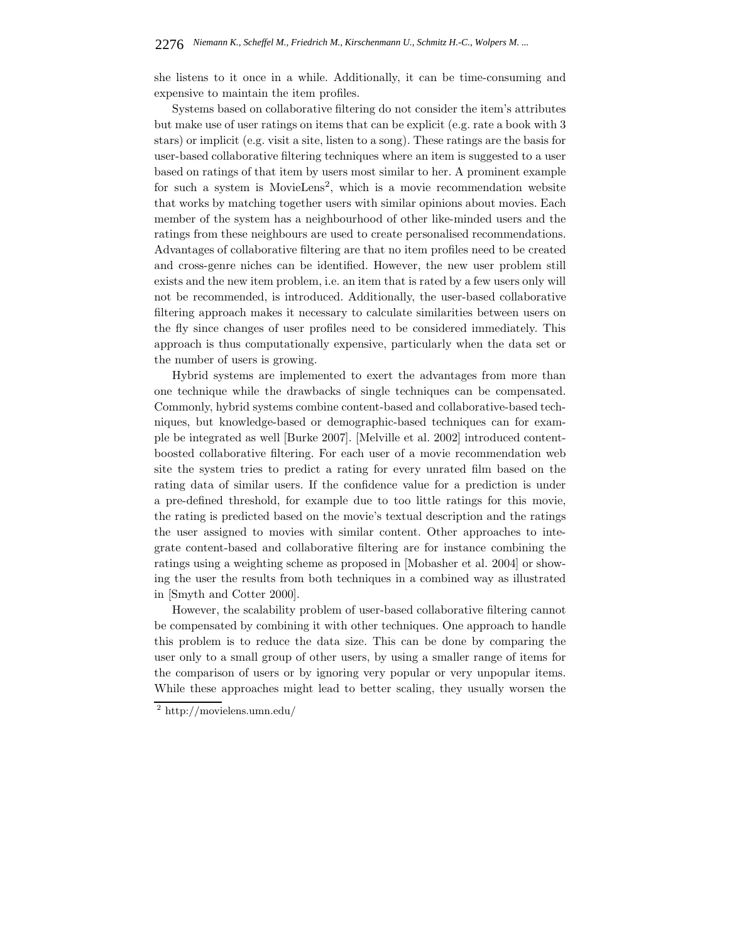she listens to it once in a while. Additionally, it can be time-consuming and expensive to maintain the item profiles.

Systems based on collaborative filtering do not consider the item's attributes but make use of user ratings on items that can be explicit (e.g. rate a book with 3 stars) or implicit (e.g. visit a site, listen to a song). These ratings are the basis for user-based collaborative filtering techniques where an item is suggested to a user based on ratings of that item by users most similar to her. A prominent example for such a system is MovieLens<sup>2</sup>, which is a movie recommendation website that works by matching together users with similar opinions about movies. Each member of the system has a neighbourhood of other like-minded users and the ratings from these neighbours are used to create personalised recommendations. Advantages of collaborative filtering are that no item profiles need to be created and cross-genre niches can be identified. However, the new user problem still exists and the new item problem, i.e. an item that is rated by a few users only will not be recommended, is introduced. Additionally, the user-based collaborative filtering approach makes it necessary to calculate similarities between users on the fly since changes of user profiles need to be considered immediately. This approach is thus computationally expensive, particularly when the data set or the number of users is growing.

Hybrid systems are implemented to exert the advantages from more than one technique while the drawbacks of single techniques can be compensated. Commonly, hybrid systems combine content-based and collaborative-based techniques, but knowledge-based or demographic-based techniques can for example be integrated as well [Burke 2007]. [Melville et al. 2002] introduced contentboosted collaborative filtering. For each user of a movie recommendation web site the system tries to predict a rating for every unrated film based on the rating data of similar users. If the confidence value for a prediction is under a pre-defined threshold, for example due to too little ratings for this movie, the rating is predicted based on the movie's textual description and the ratings the user assigned to movies with similar content. Other approaches to integrate content-based and collaborative filtering are for instance combining the ratings using a weighting scheme as proposed in [Mobasher et al. 2004] or showing the user the results from both techniques in a combined way as illustrated in [Smyth and Cotter 2000].

However, the scalability problem of user-based collaborative filtering cannot be compensated by combining it with other techniques. One approach to handle this problem is to reduce the data size. This can be done by comparing the user only to a small group of other users, by using a smaller range of items for the comparison of users or by ignoring very popular or very unpopular items. While these approaches might lead to better scaling, they usually worsen the

<sup>2</sup> http://movielens.umn.edu/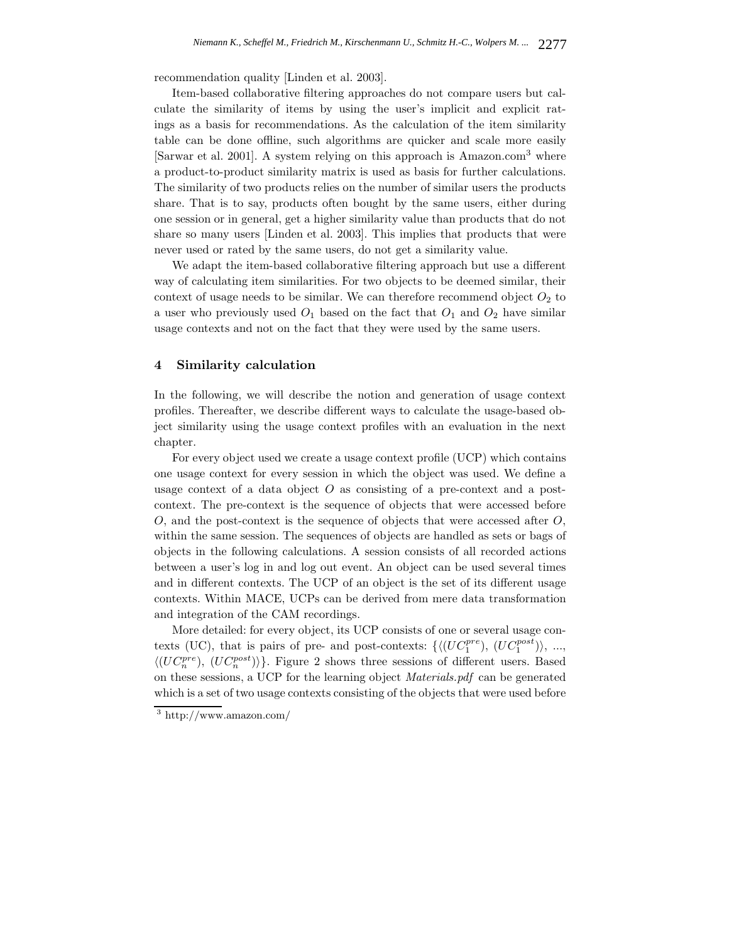recommendation quality [Linden et al. 2003].

Item-based collaborative filtering approaches do not compare users but calculate the similarity of items by using the user's implicit and explicit ratings as a basis for recommendations. As the calculation of the item similarity table can be done offline, such algorithms are quicker and scale more easily [Sarwar et al. 2001]. A system relying on this approach is Amazon.com<sup>3</sup> where a product-to-product similarity matrix is used as basis for further calculations. The similarity of two products relies on the number of similar users the products share. That is to say, products often bought by the same users, either during one session or in general, get a higher similarity value than products that do not share so many users [Linden et al. 2003]. This implies that products that were never used or rated by the same users, do not get a similarity value.

We adapt the item-based collaborative filtering approach but use a different way of calculating item similarities. For two objects to be deemed similar, their context of usage needs to be similar. We can therefore recommend object  $O_2$  to a user who previously used  $O_1$  based on the fact that  $O_1$  and  $O_2$  have similar usage contexts and not on the fact that they were used by the same users.

## **4 Similarity calculation**

In the following, we will describe the notion and generation of usage context profiles. Thereafter, we describe different ways to calculate the usage-based object similarity using the usage context profiles with an evaluation in the next chapter.

For every object used we create a usage context profile (UCP) which contains one usage context for every session in which the object was used. We define a usage context of a data object  $O$  as consisting of a pre-context and a postcontext. The pre-context is the sequence of objects that were accessed before O, and the post-context is the sequence of objects that were accessed after O, within the same session. The sequences of objects are handled as sets or bags of objects in the following calculations. A session consists of all recorded actions between a user's log in and log out event. An object can be used several times and in different contexts. The UCP of an object is the set of its different usage contexts. Within MACE, UCPs can be derived from mere data transformation and integration of the CAM recordings.

More detailed: for every object, its UCP consists of one or several usage contexts (UC), that is pairs of pre- and post-contexts:  $\{ \langle (UC_1^{pre}), (UC_1^{post}) \rangle, ...,$  $\langle (UC_n^{pre}), (UC_n^{post}) \rangle$ . Figure 2 shows three sessions of different users. Based on these sessions, a UCP for the learning object *Materials.pdf* can be generated which is a set of two usage contexts consisting of the objects that were used before

<sup>3</sup> http://www.amazon.com/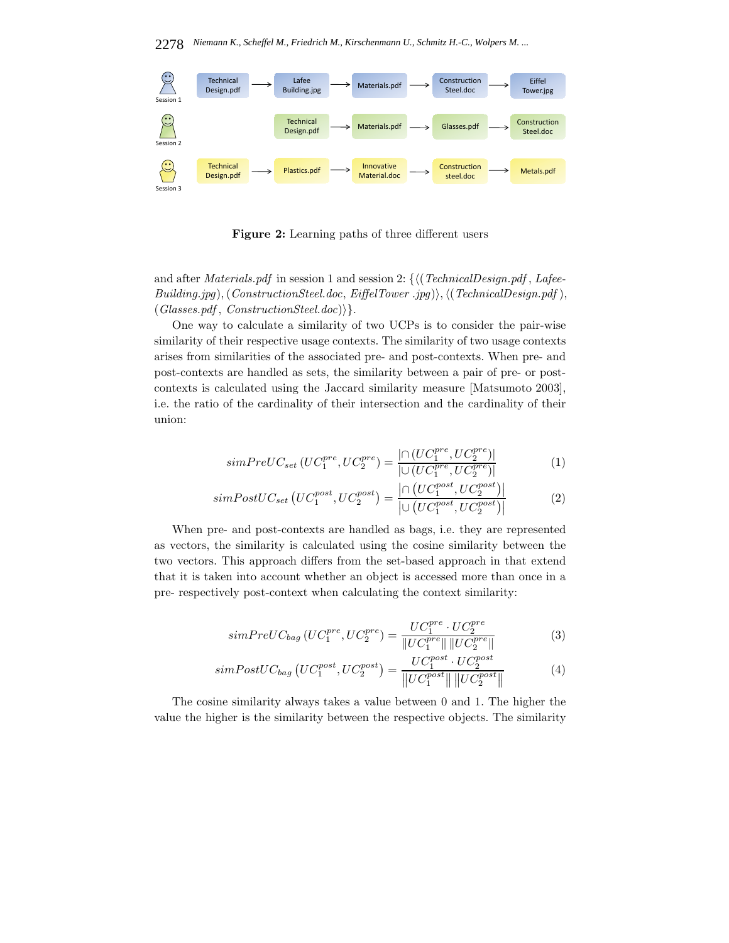

**Figure 2:** Learning paths of three different users

and after *Materials.pdf* in session 1 and session 2: { $\langle$  (*TechnicalDesign.pdf*, *Lafee*- $Building.jpg$ ),( $Construction Steel.doc$ ,  $Eiffel Tower$ .jpg)),(( $TechnicalDesign.pdf$ ), (*Glasses.pdf* , *ConstructionSteel.doc*)}.

One way to calculate a similarity of two UCPs is to consider the pair-wise similarity of their respective usage contexts. The similarity of two usage contexts arises from similarities of the associated pre- and post-contexts. When pre- and post-contexts are handled as sets, the similarity between a pair of pre- or postcontexts is calculated using the Jaccard similarity measure [Matsumoto 2003], i.e. the ratio of the cardinality of their intersection and the cardinality of their union:

$$
simPreUC_{set}(UC_1^{pre},UC_2^{pre}) = \frac{|\bigcap (UC_1^{pre},UC_2^{pre})|}{|\bigcup (UC_1^{pre},UC_2^{pre})|}
$$
(1)

$$
simPostUC_{set}\left(UC_1^{post},UC_2^{post}\right) = \frac{\left|\cap\left(UC_1^{post},UC_2^{post}\right)\right|}{\left|\cup\left(UC_1^{post},UC_2^{post}\right)\right|} \tag{2}
$$

When pre- and post-contexts are handled as bags, i.e. they are represented as vectors, the similarity is calculated using the cosine similarity between the two vectors. This approach differs from the set-based approach in that extend that it is taken into account whether an object is accessed more than once in a pre- respectively post-context when calculating the context similarity:

$$
simPreUC_{bag} (UC_1^{pre}, UC_2^{pre}) = \frac{UC_1^{pre} \cdot UC_2^{pre}}{\|UC_1^{pre} \| \|UC_2^{pre} \|}
$$
(3)

$$
simPostUC_{bag}\left(UC_1^{post},UC_2^{post}\right) = \frac{UC_1^{post} \cdot UC_2^{post}}{\left\|UC_1^{post}\right\| \left\|UC_2^{post}\right\|}\tag{4}
$$

The cosine similarity always takes a value between 0 and 1. The higher the value the higher is the similarity between the respective objects. The similarity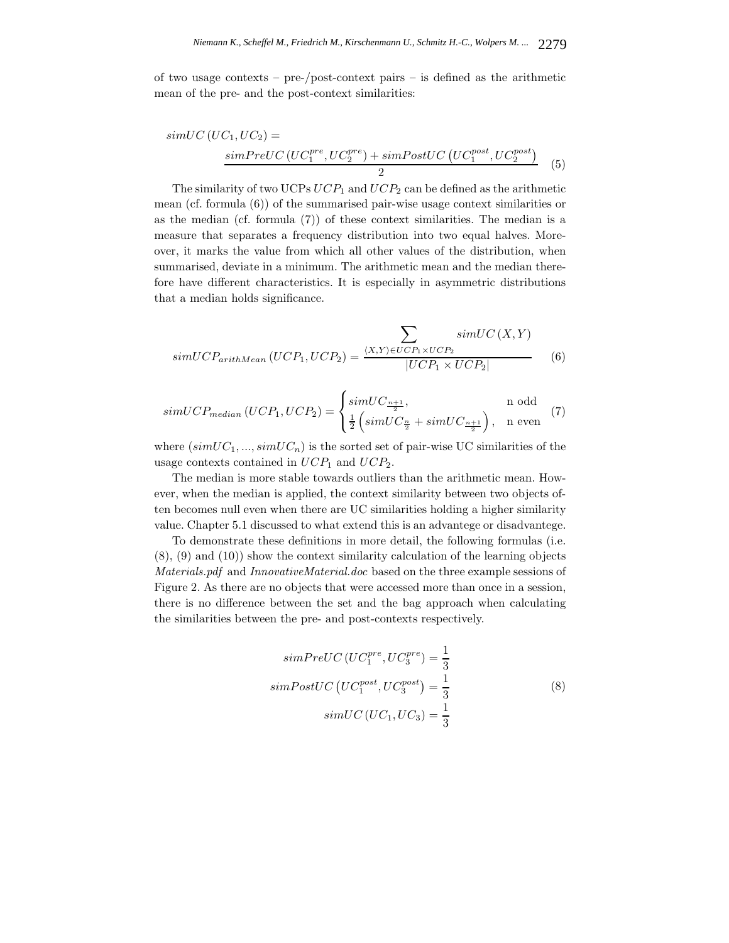of two usage contexts – pre-/post-context pairs – is defined as the arithmetic mean of the pre- and the post-context similarities:

$$
simUC (UC_1, UC_2) =
$$
  
\n
$$
simPreUC (UC_1^{pre}, UC_2^{pre}) + simPostUC (UC_1^{post},UC_2^{post})
$$
  
\n
$$
{}^{(5)}
$$

The similarity of two UCPs  $UCP_1$  and  $UCP_2$  can be defined as the arithmetic mean (cf. formula (6)) of the summarised pair-wise usage context similarities or as the median (cf. formula (7)) of these context similarities. The median is a measure that separates a frequency distribution into two equal halves. Moreover, it marks the value from which all other values of the distribution, when summarised, deviate in a minimum. The arithmetic mean and the median therefore have different characteristics. It is especially in asymmetric distributions that a median holds significance.

$$
\sum_{simUCP_{arithMean}}\frac{\sum_{\langle X,Y\rangle \in UCP_1 \times UCP_2}^{simUC(X,Y)}\quad (6)}
$$

$$
simUCP_{median}(UCP_1,UCP_2) = \begin{cases} simUC_{\frac{n+1}{2}}, & \text{n odd} \\ \frac{1}{2} \left( simUC_{\frac{n}{2}} + simUC_{\frac{n+1}{2}} \right), & \text{n even} \end{cases}
$$
(7)

where  $(simUC_1, ..., simUC_n)$  is the sorted set of pair-wise UC similarities of the usage contexts contained in  $UCP_1$  and  $UCP_2$ .

The median is more stable towards outliers than the arithmetic mean. However, when the median is applied, the context similarity between two objects often becomes null even when there are UC similarities holding a higher similarity value. Chapter 5.1 discussed to what extend this is an advantege or disadvantege.

To demonstrate these definitions in more detail, the following formulas (i.e. (8), (9) and (10)) show the context similarity calculation of the learning objects *Materials.pdf* and *InnovativeMaterial.doc* based on the three example sessions of Figure 2. As there are no objects that were accessed more than once in a session, there is no difference between the set and the bag approach when calculating the similarities between the pre- and post-contexts respectively.

$$
simPreUC (UC_1^{pre}, UC_3^{pre}) = \frac{1}{3}
$$

$$
simPostUC (UC_1^{post},UC_3^{post}) = \frac{1}{3}
$$

$$
simUC (UC_1,UC_3) = \frac{1}{3}
$$
(8)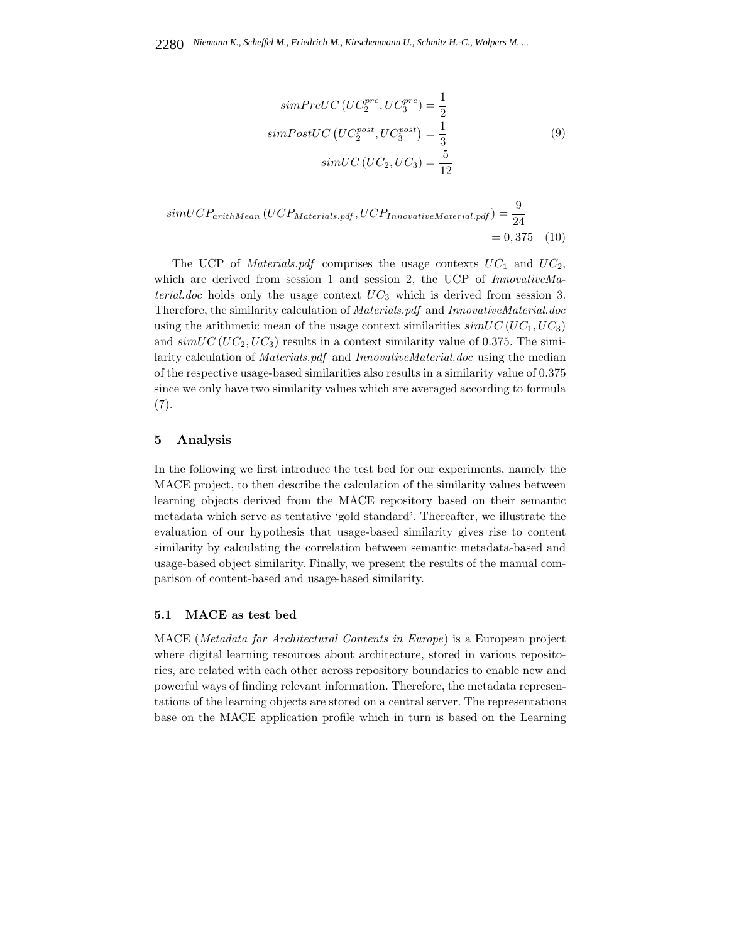$$
simPreUC (UC_2^{pre}, UC_3^{pre}) = \frac{1}{2}
$$
  
\n
$$
simPostUC (UC_2^{post},UC_3^{post}) = \frac{1}{3}
$$
  
\n
$$
simUC (UC_2,UC_3) = \frac{5}{12}
$$
\n(9)

$$
simUCP_{arithMean} (UCP_{Materials.pdf}, UCP_{Innovative Material.pdf}) = \frac{9}{24}
$$

$$
= 0,375 \quad (10)
$$

The UCP of *Materials.pdf* comprises the usage contexts  $UC_1$  and  $UC_2$ , which are derived from session 1 and session 2, the UCP of *InnovativeMaterial.doc* holds only the usage context  $UC_3$  which is derived from session 3. Therefore, the similarity calculation of *Materials.pdf* and *InnovativeMaterial.doc* using the arithmetic mean of the usage context similarities  $simUC(UC_1, UC_3)$ and  $simUC(UC_2, UC_3)$  results in a context similarity value of 0.375. The similarity calculation of *Materials.pdf* and *InnovativeMaterial.doc* using the median of the respective usage-based similarities also results in a similarity value of 0.375 since we only have two similarity values which are averaged according to formula (7).

### **5 Analysis**

In the following we first introduce the test bed for our experiments, namely the MACE project, to then describe the calculation of the similarity values between learning objects derived from the MACE repository based on their semantic metadata which serve as tentative 'gold standard'. Thereafter, we illustrate the evaluation of our hypothesis that usage-based similarity gives rise to content similarity by calculating the correlation between semantic metadata-based and usage-based object similarity. Finally, we present the results of the manual comparison of content-based and usage-based similarity.

## **5.1 MACE as test bed**

MACE (*Metadata for Architectural Contents in Europe*) is a European project where digital learning resources about architecture, stored in various repositories, are related with each other across repository boundaries to enable new and powerful ways of finding relevant information. Therefore, the metadata representations of the learning objects are stored on a central server. The representations base on the MACE application profile which in turn is based on the Learning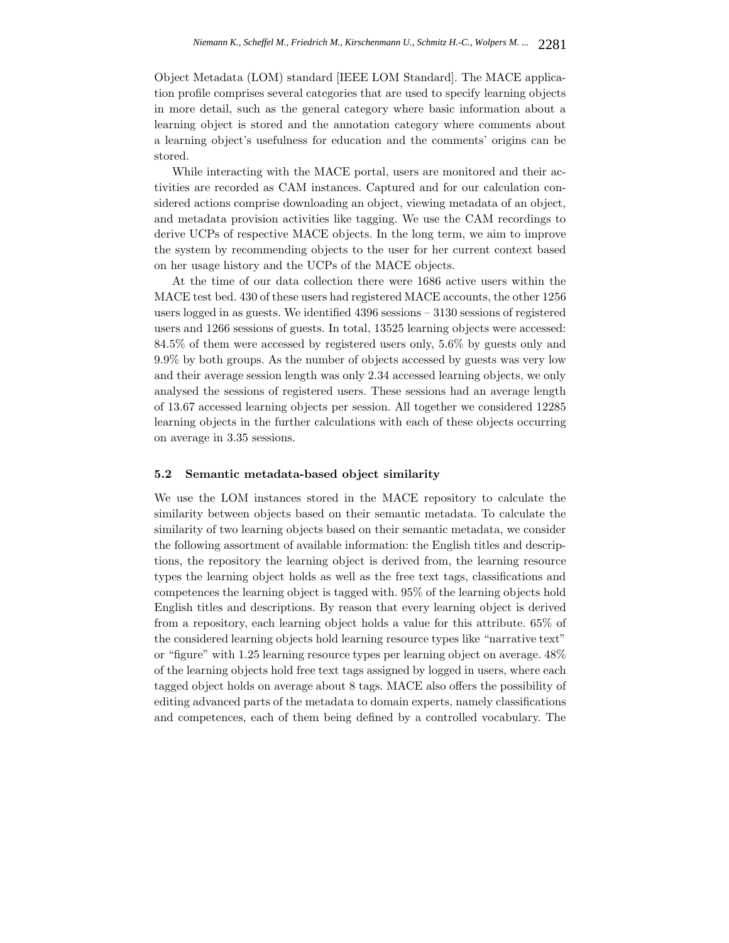Object Metadata (LOM) standard [IEEE LOM Standard]. The MACE application profile comprises several categories that are used to specify learning objects in more detail, such as the general category where basic information about a learning object is stored and the annotation category where comments about a learning object's usefulness for education and the comments' origins can be stored.

While interacting with the MACE portal, users are monitored and their activities are recorded as CAM instances. Captured and for our calculation considered actions comprise downloading an object, viewing metadata of an object, and metadata provision activities like tagging. We use the CAM recordings to derive UCPs of respective MACE objects. In the long term, we aim to improve the system by recommending objects to the user for her current context based on her usage history and the UCPs of the MACE objects.

At the time of our data collection there were 1686 active users within the MACE test bed. 430 of these users had registered MACE accounts, the other 1256 users logged in as guests. We identified 4396 sessions – 3130 sessions of registered users and 1266 sessions of guests. In total, 13525 learning objects were accessed: 84.5% of them were accessed by registered users only, 5.6% by guests only and 9.9% by both groups. As the number of objects accessed by guests was very low and their average session length was only 2.34 accessed learning objects, we only analysed the sessions of registered users. These sessions had an average length of 13.67 accessed learning objects per session. All together we considered 12285 learning objects in the further calculations with each of these objects occurring on average in 3.35 sessions.

#### **5.2 Semantic metadata-based object similarity**

We use the LOM instances stored in the MACE repository to calculate the similarity between objects based on their semantic metadata. To calculate the similarity of two learning objects based on their semantic metadata, we consider the following assortment of available information: the English titles and descriptions, the repository the learning object is derived from, the learning resource types the learning object holds as well as the free text tags, classifications and competences the learning object is tagged with. 95% of the learning objects hold English titles and descriptions. By reason that every learning object is derived from a repository, each learning object holds a value for this attribute. 65% of the considered learning objects hold learning resource types like "narrative text" or "figure" with 1.25 learning resource types per learning object on average. 48% of the learning objects hold free text tags assigned by logged in users, where each tagged object holds on average about 8 tags. MACE also offers the possibility of editing advanced parts of the metadata to domain experts, namely classifications and competences, each of them being defined by a controlled vocabulary. The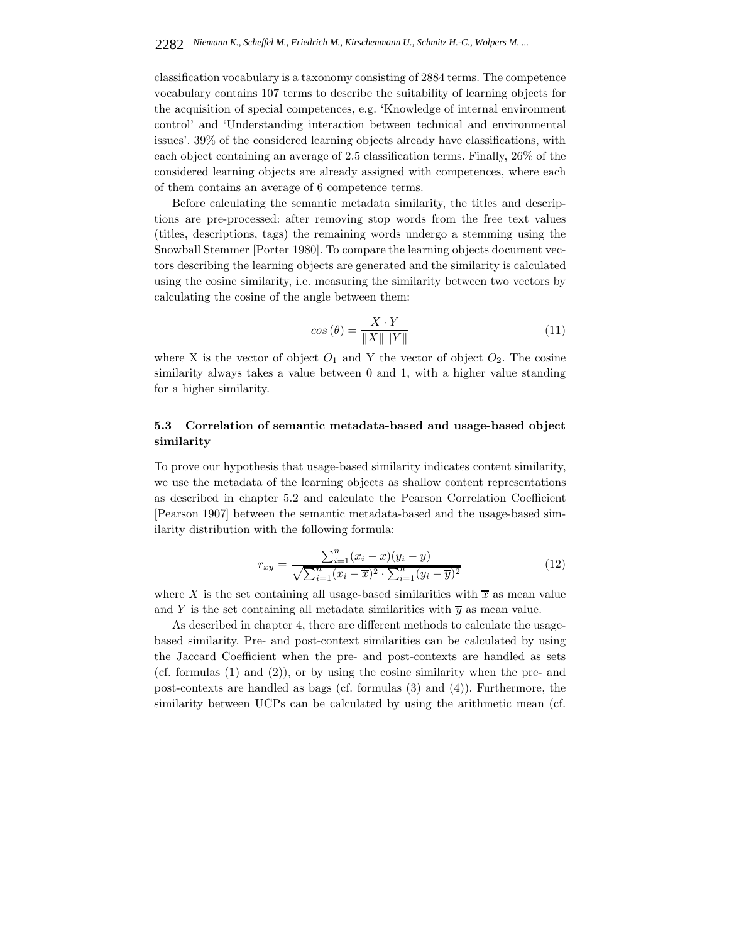classification vocabulary is a taxonomy consisting of 2884 terms. The competence vocabulary contains 107 terms to describe the suitability of learning objects for the acquisition of special competences, e.g. 'Knowledge of internal environment control' and 'Understanding interaction between technical and environmental issues'. 39% of the considered learning objects already have classifications, with each object containing an average of 2.5 classification terms. Finally, 26% of the considered learning objects are already assigned with competences, where each of them contains an average of 6 competence terms.

Before calculating the semantic metadata similarity, the titles and descriptions are pre-processed: after removing stop words from the free text values (titles, descriptions, tags) the remaining words undergo a stemming using the Snowball Stemmer [Porter 1980]. To compare the learning objects document vectors describing the learning objects are generated and the similarity is calculated using the cosine similarity, i.e. measuring the similarity between two vectors by calculating the cosine of the angle between them:

$$
\cos\left(\theta\right) = \frac{X \cdot Y}{\|X\| \, \|Y\|} \tag{11}
$$

where X is the vector of object  $O_1$  and Y the vector of object  $O_2$ . The cosine similarity always takes a value between 0 and 1, with a higher value standing for a higher similarity.

# **5.3 Correlation of semantic metadata-based and usage-based object similarity**

To prove our hypothesis that usage-based similarity indicates content similarity, we use the metadata of the learning objects as shallow content representations as described in chapter 5.2 and calculate the Pearson Correlation Coefficient [Pearson 1907] between the semantic metadata-based and the usage-based similarity distribution with the following formula:

$$
r_{xy} = \frac{\sum_{i=1}^{n} (x_i - \overline{x})(y_i - \overline{y})}{\sqrt{\sum_{i=1}^{n} (x_i - \overline{x})^2 \cdot \sum_{i=1}^{n} (y_i - \overline{y})^2}}
$$
(12)

where X is the set containing all usage-based similarities with  $\overline{x}$  as mean value and Y is the set containing all metadata similarities with  $\overline{y}$  as mean value.

As described in chapter 4, there are different methods to calculate the usagebased similarity. Pre- and post-context similarities can be calculated by using the Jaccard Coefficient when the pre- and post-contexts are handled as sets (cf. formulas  $(1)$  and  $(2)$ ), or by using the cosine similarity when the pre- and post-contexts are handled as bags (cf. formulas (3) and (4)). Furthermore, the similarity between UCPs can be calculated by using the arithmetic mean (cf.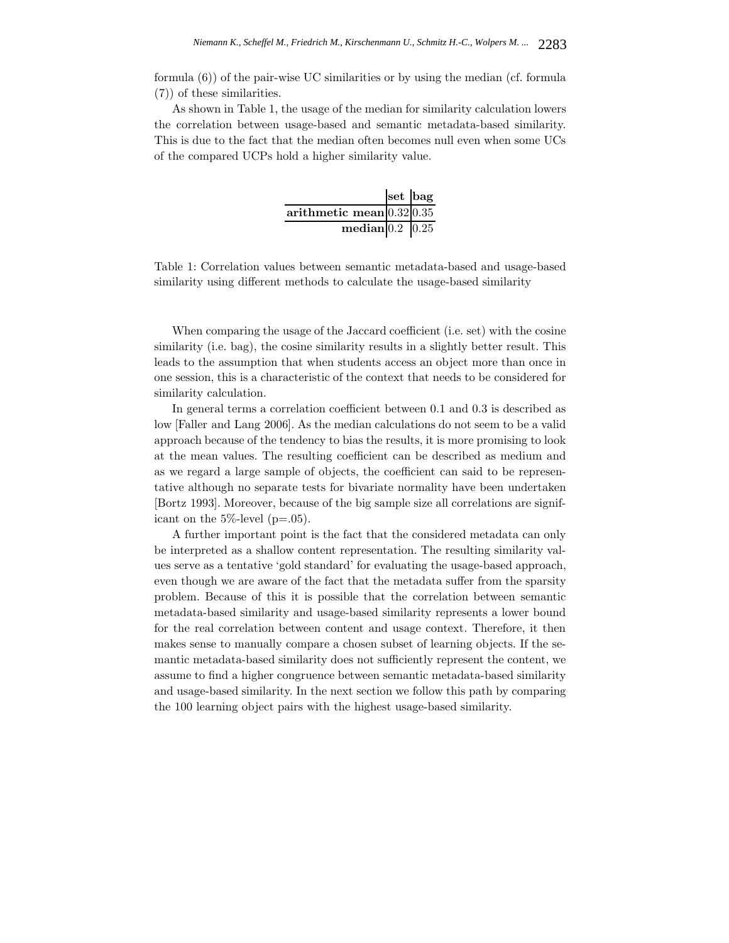formula (6)) of the pair-wise UC similarities or by using the median (cf. formula (7)) of these similarities.

As shown in Table 1, the usage of the median for similarity calculation lowers the correlation between usage-based and semantic metadata-based similarity. This is due to the fact that the median often becomes null even when some UCs of the compared UCPs hold a higher similarity value.

|                                       | set bag |
|---------------------------------------|---------|
| arithmetic mean $0.32\overline{0.35}$ |         |
| median $0.2$ 0.25                     |         |

Table 1: Correlation values between semantic metadata-based and usage-based similarity using different methods to calculate the usage-based similarity

When comparing the usage of the Jaccard coefficient (i.e. set) with the cosine similarity (i.e. bag), the cosine similarity results in a slightly better result. This leads to the assumption that when students access an object more than once in one session, this is a characteristic of the context that needs to be considered for similarity calculation.

In general terms a correlation coefficient between 0.1 and 0.3 is described as low [Faller and Lang 2006]. As the median calculations do not seem to be a valid approach because of the tendency to bias the results, it is more promising to look at the mean values. The resulting coefficient can be described as medium and as we regard a large sample of objects, the coefficient can said to be representative although no separate tests for bivariate normality have been undertaken [Bortz 1993]. Moreover, because of the big sample size all correlations are significant on the  $5\%$ -level (p=.05).

A further important point is the fact that the considered metadata can only be interpreted as a shallow content representation. The resulting similarity values serve as a tentative 'gold standard' for evaluating the usage-based approach, even though we are aware of the fact that the metadata suffer from the sparsity problem. Because of this it is possible that the correlation between semantic metadata-based similarity and usage-based similarity represents a lower bound for the real correlation between content and usage context. Therefore, it then makes sense to manually compare a chosen subset of learning objects. If the semantic metadata-based similarity does not sufficiently represent the content, we assume to find a higher congruence between semantic metadata-based similarity and usage-based similarity. In the next section we follow this path by comparing the 100 learning object pairs with the highest usage-based similarity.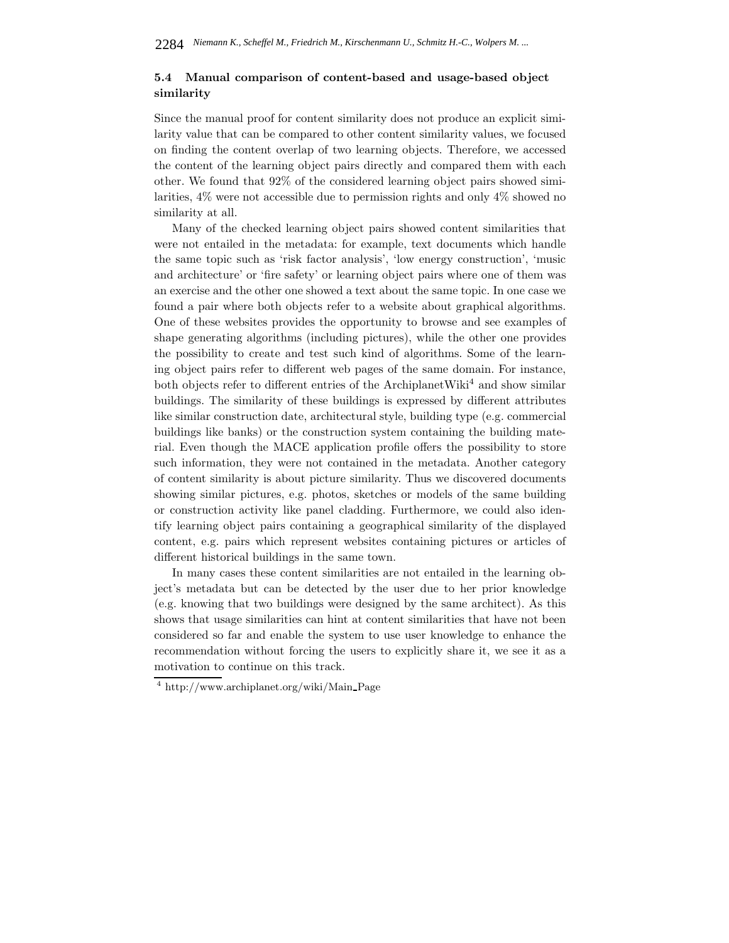# **5.4 Manual comparison of content-based and usage-based object similarity**

Since the manual proof for content similarity does not produce an explicit similarity value that can be compared to other content similarity values, we focused on finding the content overlap of two learning objects. Therefore, we accessed the content of the learning object pairs directly and compared them with each other. We found that 92% of the considered learning object pairs showed similarities, 4% were not accessible due to permission rights and only 4% showed no similarity at all.

Many of the checked learning object pairs showed content similarities that were not entailed in the metadata: for example, text documents which handle the same topic such as 'risk factor analysis', 'low energy construction', 'music and architecture' or 'fire safety' or learning object pairs where one of them was an exercise and the other one showed a text about the same topic. In one case we found a pair where both objects refer to a website about graphical algorithms. One of these websites provides the opportunity to browse and see examples of shape generating algorithms (including pictures), while the other one provides the possibility to create and test such kind of algorithms. Some of the learning object pairs refer to different web pages of the same domain. For instance, both objects refer to different entries of the ArchiplanetWiki<sup>4</sup> and show similar buildings. The similarity of these buildings is expressed by different attributes like similar construction date, architectural style, building type (e.g. commercial buildings like banks) or the construction system containing the building material. Even though the MACE application profile offers the possibility to store such information, they were not contained in the metadata. Another category of content similarity is about picture similarity. Thus we discovered documents showing similar pictures, e.g. photos, sketches or models of the same building or construction activity like panel cladding. Furthermore, we could also identify learning object pairs containing a geographical similarity of the displayed content, e.g. pairs which represent websites containing pictures or articles of different historical buildings in the same town.

In many cases these content similarities are not entailed in the learning object's metadata but can be detected by the user due to her prior knowledge (e.g. knowing that two buildings were designed by the same architect). As this shows that usage similarities can hint at content similarities that have not been considered so far and enable the system to use user knowledge to enhance the recommendation without forcing the users to explicitly share it, we see it as a motivation to continue on this track.

<sup>4</sup> http://www.archiplanet.org/wiki/Main Page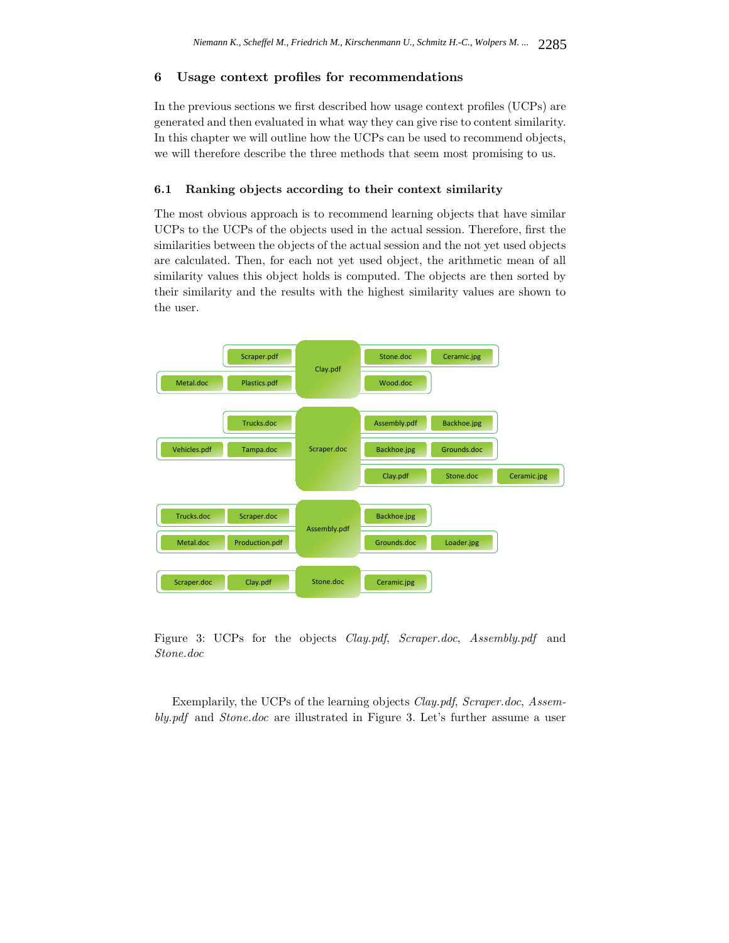## **6 Usage context profiles for recommendations**

In the previous sections we first described how usage context profiles (UCPs) are generated and then evaluated in what way they can give rise to content similarity. In this chapter we will outline how the UCPs can be used to recommend objects, we will therefore describe the three methods that seem most promising to us.

## **6.1 Ranking objects according to their context similarity**

The most obvious approach is to recommend learning objects that have similar UCPs to the UCPs of the objects used in the actual session. Therefore, first the similarities between the objects of the actual session and the not yet used objects are calculated. Then, for each not yet used object, the arithmetic mean of all similarity values this object holds is computed. The objects are then sorted by their similarity and the results with the highest similarity values are shown to the user.



Figure 3: UCPs for the objects *Clay.pdf*, *Scraper.doc*, *Assembly.pdf* and *Stone.doc*

Exemplarily, the UCPs of the learning objects *Clay.pdf*, *Scraper.doc*, *Assembly.pdf* and *Stone.doc* are illustrated in Figure 3. Let's further assume a user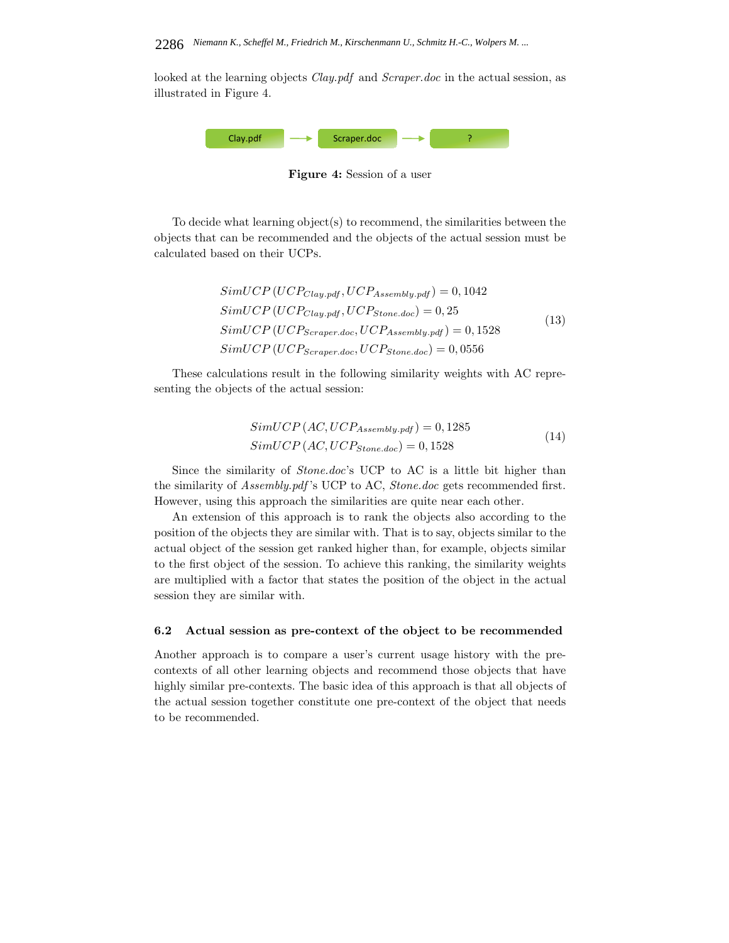looked at the learning objects *Clay.pdf* and *Scraper.doc* in the actual session, as illustrated in Figure 4.



**Figure 4:** Session of a user

To decide what learning object(s) to recommend, the similarities between the objects that can be recommended and the objects of the actual session must be calculated based on their UCPs.

$$
SimUCP (UCP_{Clay.pdf}, UCP_{Assembly.pdf}) = 0,1042
$$
  
\n
$$
SimUCP (UCP_{Clay.pdf}, UCP_{Stone.doc}) = 0,25
$$
  
\n
$$
SimUCP (UCP_{Scraper.doc}, UCP_{Assembly.pdf}) = 0,1528
$$
  
\n
$$
SimUCP (UCP_{Scraper.doc}, UCP_{Stone.doc}) = 0,0556
$$
\n(13)

These calculations result in the following similarity weights with AC representing the objects of the actual session:

$$
SimUCP (AC, UCP_{Assembly.pdf}) = 0,1285
$$
  
\n
$$
SimUCP (AC, UCP_{Stone.doc}) = 0,1528
$$
 (14)

Since the similarity of *Stone.doc*'s UCP to AC is a little bit higher than the similarity of *Assembly.pdf* 's UCP to AC, *Stone.doc* gets recommended first. However, using this approach the similarities are quite near each other.

An extension of this approach is to rank the objects also according to the position of the objects they are similar with. That is to say, objects similar to the actual object of the session get ranked higher than, for example, objects similar to the first object of the session. To achieve this ranking, the similarity weights are multiplied with a factor that states the position of the object in the actual session they are similar with.

#### **6.2 Actual session as pre-context of the object to be recommended**

Another approach is to compare a user's current usage history with the precontexts of all other learning objects and recommend those objects that have highly similar pre-contexts. The basic idea of this approach is that all objects of the actual session together constitute one pre-context of the object that needs to be recommended.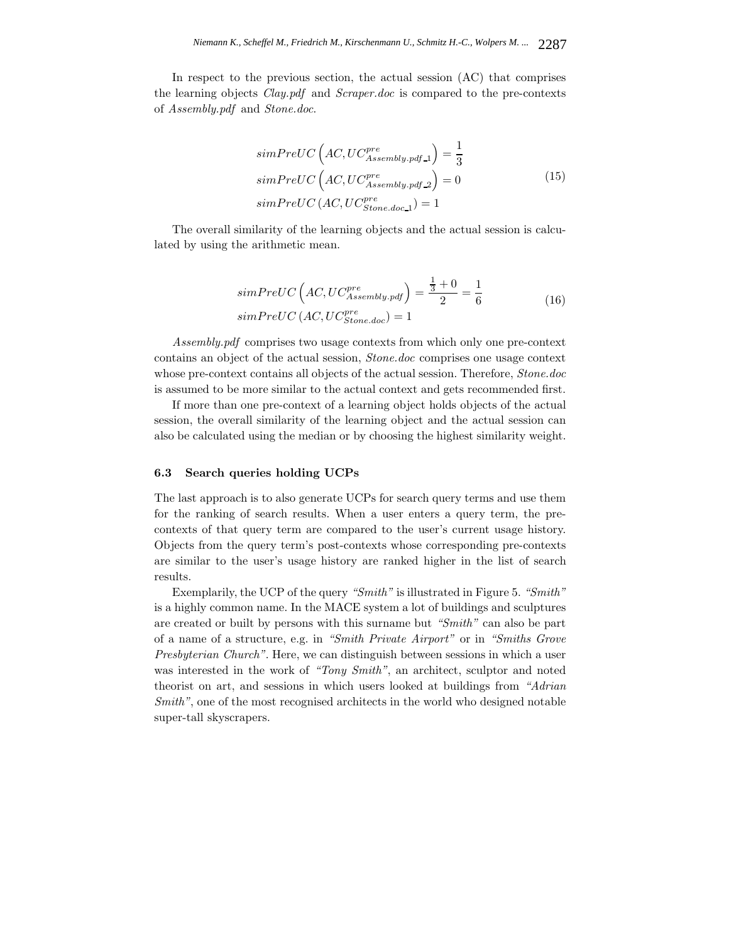In respect to the previous section, the actual session (AC) that comprises the learning objects *Clay.pdf* and *Scraper.doc* is compared to the pre-contexts of *Assembly.pdf* and *Stone.doc*.

$$
simPreUC\left(AC,UC_{Assembly.pdf-1}^{pre}\right) = \frac{1}{3}
$$

$$
simPreUC\left(AC,UC_{Assembly.pdf-2}^{pre}\right) = 0
$$

$$
simPreUC\left(AC,UC_{Stone.doc.1}^{pre}\right) = 1
$$
\n(15)

The overall similarity of the learning objects and the actual session is calculated by using the arithmetic mean.

$$
simPreUC\left(AC,UC_{Assembly.pdf}^{pre}\right) = \frac{\frac{1}{3} + 0}{2} = \frac{1}{6}
$$
\n
$$
simPreUC\left(AC,UC_{Stone.doc}^{pre}\right) = 1
$$
\n(16)

*Assembly.pdf* comprises two usage contexts from which only one pre-context contains an object of the actual session, *Stone.doc* comprises one usage context whose pre-context contains all objects of the actual session. Therefore, *Stone.doc* is assumed to be more similar to the actual context and gets recommended first.

If more than one pre-context of a learning object holds objects of the actual session, the overall similarity of the learning object and the actual session can also be calculated using the median or by choosing the highest similarity weight.

### **6.3 Search queries holding UCPs**

The last approach is to also generate UCPs for search query terms and use them for the ranking of search results. When a user enters a query term, the precontexts of that query term are compared to the user's current usage history. Objects from the query term's post-contexts whose corresponding pre-contexts are similar to the user's usage history are ranked higher in the list of search results.

Exemplarily, the UCP of the query *"Smith"* is illustrated in Figure 5. *"Smith"* is a highly common name. In the MACE system a lot of buildings and sculptures are created or built by persons with this surname but *"Smith"* can also be part of a name of a structure, e.g. in *"Smith Private Airport"* or in *"Smiths Grove Presbyterian Church"*. Here, we can distinguish between sessions in which a user was interested in the work of *"Tony Smith"*, an architect, sculptor and noted theorist on art, and sessions in which users looked at buildings from *"Adrian Smith"*, one of the most recognised architects in the world who designed notable super-tall skyscrapers.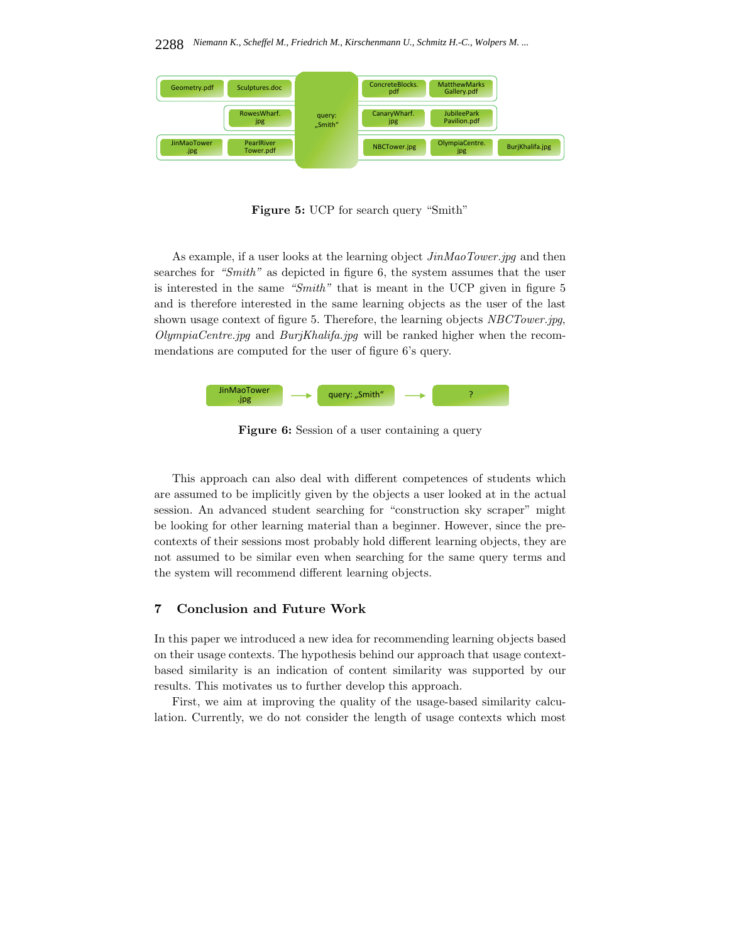

**Figure 5:** UCP for search query "Smith"

As example, if a user looks at the learning object *JinMaoTower.jpg* and then searches for *"Smith"* as depicted in figure 6, the system assumes that the user is interested in the same *"Smith"* that is meant in the UCP given in figure 5 and is therefore interested in the same learning objects as the user of the last shown usage context of figure 5. Therefore, the learning objects *NBCTower.jpg*, *OlympiaCentre.jpg* and *BurjKhalifa.jpg* will be ranked higher when the recommendations are computed for the user of figure 6's query.



**Figure 6:** Session of a user containing a query

This approach can also deal with different competences of students which are assumed to be implicitly given by the objects a user looked at in the actual session. An advanced student searching for "construction sky scraper" might be looking for other learning material than a beginner. However, since the precontexts of their sessions most probably hold different learning objects, they are not assumed to be similar even when searching for the same query terms and the system will recommend different learning objects.

# **7 Conclusion and Future Work**

In this paper we introduced a new idea for recommending learning objects based on their usage contexts. The hypothesis behind our approach that usage contextbased similarity is an indication of content similarity was supported by our results. This motivates us to further develop this approach.

First, we aim at improving the quality of the usage-based similarity calculation. Currently, we do not consider the length of usage contexts which most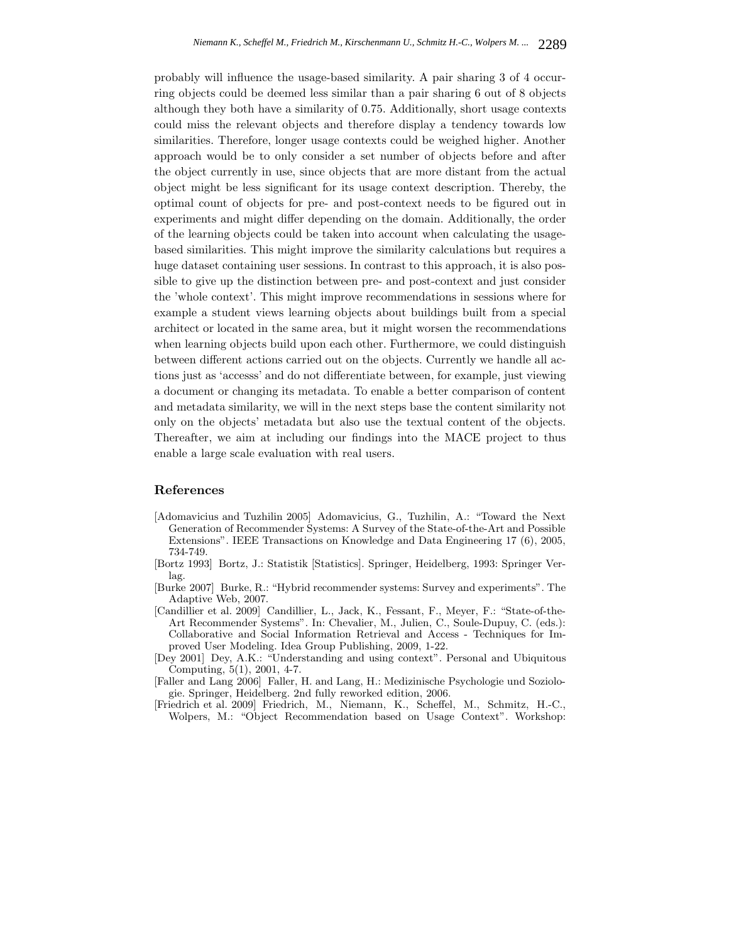probably will influence the usage-based similarity. A pair sharing 3 of 4 occurring objects could be deemed less similar than a pair sharing 6 out of 8 objects although they both have a similarity of 0.75. Additionally, short usage contexts could miss the relevant objects and therefore display a tendency towards low similarities. Therefore, longer usage contexts could be weighed higher. Another approach would be to only consider a set number of objects before and after the object currently in use, since objects that are more distant from the actual object might be less significant for its usage context description. Thereby, the optimal count of objects for pre- and post-context needs to be figured out in experiments and might differ depending on the domain. Additionally, the order of the learning objects could be taken into account when calculating the usagebased similarities. This might improve the similarity calculations but requires a huge dataset containing user sessions. In contrast to this approach, it is also possible to give up the distinction between pre- and post-context and just consider the 'whole context'. This might improve recommendations in sessions where for example a student views learning objects about buildings built from a special architect or located in the same area, but it might worsen the recommendations when learning objects build upon each other. Furthermore, we could distinguish between different actions carried out on the objects. Currently we handle all actions just as 'accesss' and do not differentiate between, for example, just viewing a document or changing its metadata. To enable a better comparison of content and metadata similarity, we will in the next steps base the content similarity not only on the objects' metadata but also use the textual content of the objects. Thereafter, we aim at including our findings into the MACE project to thus enable a large scale evaluation with real users.

### **References**

- [Adomavicius and Tuzhilin 2005] Adomavicius, G., Tuzhilin, A.: "Toward the Next Generation of Recommender Systems: A Survey of the State-of-the-Art and Possible Extensions". IEEE Transactions on Knowledge and Data Engineering 17 (6), 2005, 734-749.
- [Bortz 1993] Bortz, J.: Statistik [Statistics]. Springer, Heidelberg, 1993: Springer Verlag.
- [Burke 2007] Burke, R.: "Hybrid recommender systems: Survey and experiments". The Adaptive Web, 2007.
- [Candillier et al. 2009] Candillier, L., Jack, K., Fessant, F., Meyer, F.: "State-of-the-Art Recommender Systems". In: Chevalier, M., Julien, C., Soule-Dupuy, C. (eds.): Collaborative and Social Information Retrieval and Access - Techniques for Improved User Modeling. Idea Group Publishing, 2009, 1-22.
- [Dey 2001] Dey, A.K.: "Understanding and using context". Personal and Ubiquitous Computing, 5(1), 2001, 4-7.
- [Faller and Lang 2006] Faller, H. and Lang, H.: Medizinische Psychologie und Soziologie. Springer, Heidelberg. 2nd fully reworked edition, 2006.
- [Friedrich et al. 2009] Friedrich, M., Niemann, K., Scheffel, M., Schmitz, H.-C., Wolpers, M.: "Object Recommendation based on Usage Context". Workshop: